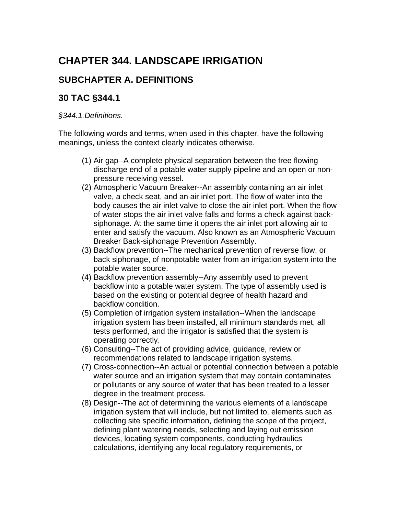# **CHAPTER 344. LANDSCAPE IRRIGATION**

### **SUBCHAPTER A. DEFINITIONS**

### **30 TAC §344.1**

#### *§344.1.Definitions.*

The following words and terms, when used in this chapter, have the following meanings, unless the context clearly indicates otherwise.

- (1) Air gap--A complete physical separation between the free flowing discharge end of a potable water supply pipeline and an open or nonpressure receiving vessel.
- (2) Atmospheric Vacuum Breaker--An assembly containing an air inlet valve, a check seat, and an air inlet port. The flow of water into the body causes the air inlet valve to close the air inlet port. When the flow of water stops the air inlet valve falls and forms a check against backsiphonage. At the same time it opens the air inlet port allowing air to enter and satisfy the vacuum. Also known as an Atmospheric Vacuum Breaker Back-siphonage Prevention Assembly.
- (3) Backflow prevention--The mechanical prevention of reverse flow, or back siphonage, of nonpotable water from an irrigation system into the potable water source.
- (4) Backflow prevention assembly--Any assembly used to prevent backflow into a potable water system. The type of assembly used is based on the existing or potential degree of health hazard and backflow condition.
- (5) Completion of irrigation system installation--When the landscape irrigation system has been installed, all minimum standards met, all tests performed, and the irrigator is satisfied that the system is operating correctly.
- (6) Consulting--The act of providing advice, guidance, review or recommendations related to landscape irrigation systems.
- (7) Cross-connection--An actual or potential connection between a potable water source and an irrigation system that may contain contaminates or pollutants or any source of water that has been treated to a lesser degree in the treatment process.
- (8) Design--The act of determining the various elements of a landscape irrigation system that will include, but not limited to, elements such as collecting site specific information, defining the scope of the project, defining plant watering needs, selecting and laying out emission devices, locating system components, conducting hydraulics calculations, identifying any local regulatory requirements, or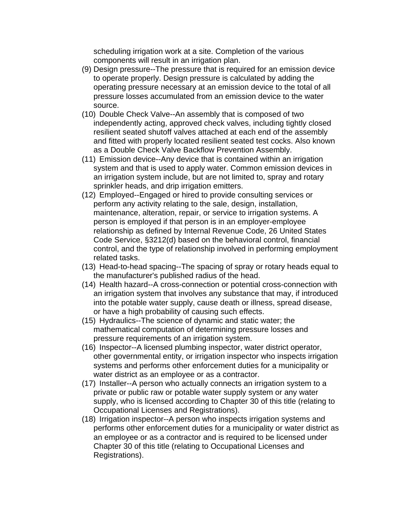scheduling irrigation work at a site. Completion of the various components will result in an irrigation plan.

- (9) Design pressure--The pressure that is required for an emission device to operate properly. Design pressure is calculated by adding the operating pressure necessary at an emission device to the total of all pressure losses accumulated from an emission device to the water source.
- (10) Double Check Valve--An assembly that is composed of two independently acting, approved check valves, including tightly closed resilient seated shutoff valves attached at each end of the assembly and fitted with properly located resilient seated test cocks. Also known as a Double Check Valve Backflow Prevention Assembly.
- (11) Emission device--Any device that is contained within an irrigation system and that is used to apply water. Common emission devices in an irrigation system include, but are not limited to, spray and rotary sprinkler heads, and drip irrigation emitters.
- (12) Employed--Engaged or hired to provide consulting services or perform any activity relating to the sale, design, installation, maintenance, alteration, repair, or service to irrigation systems. A person is employed if that person is in an employer-employee relationship as defined by Internal Revenue Code, 26 United States Code Service, §3212(d) based on the behavioral control, financial control, and the type of relationship involved in performing employment related tasks.
- (13) Head-to-head spacing--The spacing of spray or rotary heads equal to the manufacturer's published radius of the head.
- (14) Health hazard--A cross-connection or potential cross-connection with an irrigation system that involves any substance that may, if introduced into the potable water supply, cause death or illness, spread disease, or have a high probability of causing such effects.
- (15) Hydraulics--The science of dynamic and static water; the mathematical computation of determining pressure losses and pressure requirements of an irrigation system.
- (16) Inspector--A licensed plumbing inspector, water district operator, other governmental entity, or irrigation inspector who inspects irrigation systems and performs other enforcement duties for a municipality or water district as an employee or as a contractor.
- (17) Installer--A person who actually connects an irrigation system to a private or public raw or potable water supply system or any water supply, who is licensed according to Chapter 30 of this title (relating to Occupational Licenses and Registrations).
- (18) Irrigation inspector--A person who inspects irrigation systems and performs other enforcement duties for a municipality or water district as an employee or as a contractor and is required to be licensed under Chapter 30 of this title (relating to Occupational Licenses and Registrations).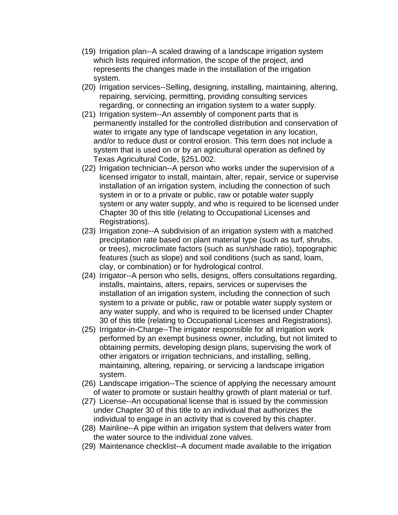- (19) Irrigation plan--A scaled drawing of a landscape irrigation system which lists required information, the scope of the project, and represents the changes made in the installation of the irrigation system.
- (20) Irrigation services--Selling, designing, installing, maintaining, altering, repairing, servicing, permitting, providing consulting services regarding, or connecting an irrigation system to a water supply.
- (21) Irrigation system--An assembly of component parts that is permanently installed for the controlled distribution and conservation of water to irrigate any type of landscape vegetation in any location, and/or to reduce dust or control erosion. This term does not include a system that is used on or by an agricultural operation as defined by Texas Agricultural Code, §251.002.
- (22) Irrigation technician--A person who works under the supervision of a licensed irrigator to install, maintain, alter, repair, service or supervise installation of an irrigation system, including the connection of such system in or to a private or public, raw or potable water supply system or any water supply, and who is required to be licensed under Chapter 30 of this title (relating to Occupational Licenses and Registrations).
- (23) Irrigation zone--A subdivision of an irrigation system with a matched precipitation rate based on plant material type (such as turf, shrubs, or trees), microclimate factors (such as sun/shade ratio), topographic features (such as slope) and soil conditions (such as sand, loam, clay, or combination) or for hydrological control.
- (24) Irrigator--A person who sells, designs, offers consultations regarding, installs, maintains, alters, repairs, services or supervises the installation of an irrigation system, including the connection of such system to a private or public, raw or potable water supply system or any water supply, and who is required to be licensed under Chapter 30 of this title (relating to Occupational Licenses and Registrations).
- (25) Irrigator-in-Charge--The irrigator responsible for all irrigation work performed by an exempt business owner, including, but not limited to obtaining permits, developing design plans, supervising the work of other irrigators or irrigation technicians, and installing, selling, maintaining, altering, repairing, or servicing a landscape irrigation system.
- (26) Landscape irrigation--The science of applying the necessary amount of water to promote or sustain healthy growth of plant material or turf.
- (27) License--An occupational license that is issued by the commission under Chapter 30 of this title to an individual that authorizes the individual to engage in an activity that is covered by this chapter.
- (28) Mainline--A pipe within an irrigation system that delivers water from the water source to the individual zone valves.
- (29) Maintenance checklist--A document made available to the irrigation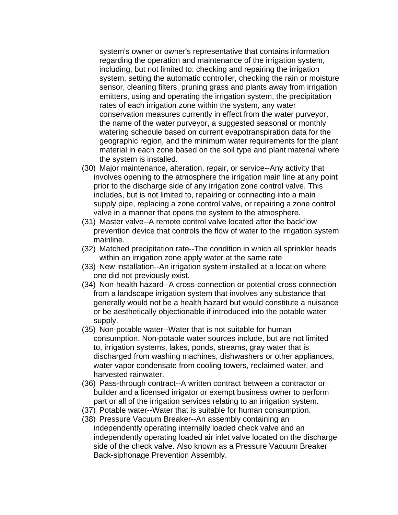system's owner or owner's representative that contains information regarding the operation and maintenance of the irrigation system, including, but not limited to: checking and repairing the irrigation system, setting the automatic controller, checking the rain or moisture sensor, cleaning filters, pruning grass and plants away from irrigation emitters, using and operating the irrigation system, the precipitation rates of each irrigation zone within the system, any water conservation measures currently in effect from the water purveyor, the name of the water purveyor, a suggested seasonal or monthly watering schedule based on current evapotranspiration data for the geographic region, and the minimum water requirements for the plant material in each zone based on the soil type and plant material where the system is installed.

- (30) Major maintenance, alteration, repair, or service--Any activity that involves opening to the atmosphere the irrigation main line at any point prior to the discharge side of any irrigation zone control valve. This includes, but is not limited to, repairing or connecting into a main supply pipe, replacing a zone control valve, or repairing a zone control valve in a manner that opens the system to the atmosphere.
- (31) Master valve--A remote control valve located after the backflow prevention device that controls the flow of water to the irrigation system mainline.
- (32) Matched precipitation rate--The condition in which all sprinkler heads within an irrigation zone apply water at the same rate
- (33) New installation--An irrigation system installed at a location where one did not previously exist.
- (34) Non-health hazard--A cross-connection or potential cross connection from a landscape irrigation system that involves any substance that generally would not be a health hazard but would constitute a nuisance or be aesthetically objectionable if introduced into the potable water supply.
- (35) Non-potable water--Water that is not suitable for human consumption. Non-potable water sources include, but are not limited to, irrigation systems, lakes, ponds, streams, gray water that is discharged from washing machines, dishwashers or other appliances, water vapor condensate from cooling towers, reclaimed water, and harvested rainwater.
- (36) Pass-through contract--A written contract between a contractor or builder and a licensed irrigator or exempt business owner to perform part or all of the irrigation services relating to an irrigation system.
- (37) Potable water--Water that is suitable for human consumption.
- (38) Pressure Vacuum Breaker--An assembly containing an independently operating internally loaded check valve and an independently operating loaded air inlet valve located on the discharge side of the check valve. Also known as a Pressure Vacuum Breaker Back-siphonage Prevention Assembly.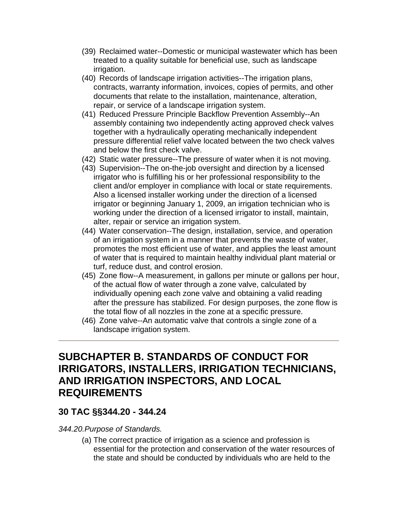- (39) Reclaimed water--Domestic or municipal wastewater which has been treated to a quality suitable for beneficial use, such as landscape irrigation.
- (40) Records of landscape irrigation activities--The irrigation plans, contracts, warranty information, invoices, copies of permits, and other documents that relate to the installation, maintenance, alteration, repair, or service of a landscape irrigation system.
- (41) Reduced Pressure Principle Backflow Prevention Assembly--An assembly containing two independently acting approved check valves together with a hydraulically operating mechanically independent pressure differential relief valve located between the two check valves and below the first check valve.
- (42) Static water pressure--The pressure of water when it is not moving.
- (43) Supervision--The on-the-job oversight and direction by a licensed irrigator who is fulfilling his or her professional responsibility to the client and/or employer in compliance with local or state requirements. Also a licensed installer working under the direction of a licensed irrigator or beginning January 1, 2009, an irrigation technician who is working under the direction of a licensed irrigator to install, maintain, alter, repair or service an irrigation system.
- (44) Water conservation--The design, installation, service, and operation of an irrigation system in a manner that prevents the waste of water, promotes the most efficient use of water, and applies the least amount of water that is required to maintain healthy individual plant material or turf, reduce dust, and control erosion.
- (45) Zone flow--A measurement, in gallons per minute or gallons per hour, of the actual flow of water through a zone valve, calculated by individually opening each zone valve and obtaining a valid reading after the pressure has stabilized. For design purposes, the zone flow is the total flow of all nozzles in the zone at a specific pressure.
- (46) Zone valve--An automatic valve that controls a single zone of a landscape irrigation system.

## **SUBCHAPTER B. STANDARDS OF CONDUCT FOR IRRIGATORS, INSTALLERS, IRRIGATION TECHNICIANS, AND IRRIGATION INSPECTORS, AND LOCAL REQUIREMENTS**

### **30 TAC §§344.20 - 344.24**

*344.20.Purpose of Standards.* 

(a) The correct practice of irrigation as a science and profession is essential for the protection and conservation of the water resources of the state and should be conducted by individuals who are held to the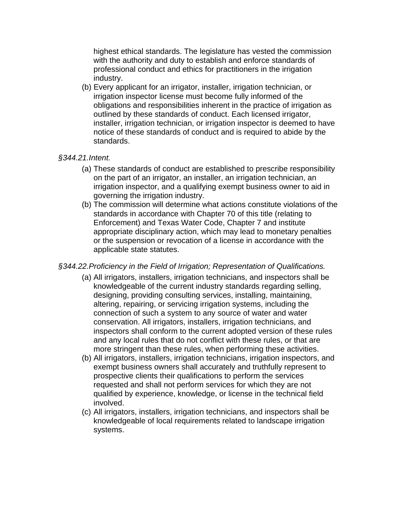highest ethical standards. The legislature has vested the commission with the authority and duty to establish and enforce standards of professional conduct and ethics for practitioners in the irrigation industry.

(b) Every applicant for an irrigator, installer, irrigation technician, or irrigation inspector license must become fully informed of the obligations and responsibilities inherent in the practice of irrigation as outlined by these standards of conduct. Each licensed irrigator, installer, irrigation technician, or irrigation inspector is deemed to have notice of these standards of conduct and is required to abide by the standards.

#### *§344.21.Intent.*

- (a) These standards of conduct are established to prescribe responsibility on the part of an irrigator, an installer, an irrigation technician, an irrigation inspector, and a qualifying exempt business owner to aid in governing the irrigation industry.
- (b) The commission will determine what actions constitute violations of the standards in accordance with Chapter 70 of this title (relating to Enforcement) and Texas Water Code, Chapter 7 and institute appropriate disciplinary action, which may lead to monetary penalties or the suspension or revocation of a license in accordance with the applicable state statutes.

#### *§344.22.Proficiency in the Field of Irrigation; Representation of Qualifications.*

- (a) All irrigators, installers, irrigation technicians, and inspectors shall be knowledgeable of the current industry standards regarding selling, designing, providing consulting services, installing, maintaining, altering, repairing, or servicing irrigation systems, including the connection of such a system to any source of water and water conservation. All irrigators, installers, irrigation technicians, and inspectors shall conform to the current adopted version of these rules and any local rules that do not conflict with these rules, or that are more stringent than these rules, when performing these activities.
- (b) All irrigators, installers, irrigation technicians, irrigation inspectors, and exempt business owners shall accurately and truthfully represent to prospective clients their qualifications to perform the services requested and shall not perform services for which they are not qualified by experience, knowledge, or license in the technical field involved.
- (c) All irrigators, installers, irrigation technicians, and inspectors shall be knowledgeable of local requirements related to landscape irrigation systems.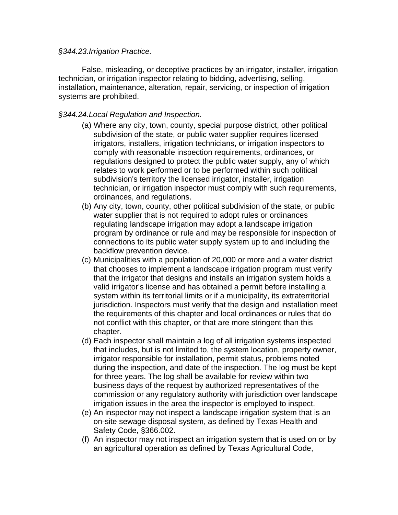#### *§344.23.Irrigation Practice.*

False, misleading, or deceptive practices by an irrigator, installer, irrigation technician, or irrigation inspector relating to bidding, advertising, selling, installation, maintenance, alteration, repair, servicing, or inspection of irrigation systems are prohibited.

#### *§344.24.Local Regulation and Inspection.*

- (a) Where any city, town, county, special purpose district, other political subdivision of the state, or public water supplier requires licensed irrigators, installers, irrigation technicians, or irrigation inspectors to comply with reasonable inspection requirements, ordinances, or regulations designed to protect the public water supply, any of which relates to work performed or to be performed within such political subdivision's territory the licensed irrigator, installer, irrigation technician, or irrigation inspector must comply with such requirements, ordinances, and regulations.
- (b) Any city, town, county, other political subdivision of the state, or public water supplier that is not required to adopt rules or ordinances regulating landscape irrigation may adopt a landscape irrigation program by ordinance or rule and may be responsible for inspection of connections to its public water supply system up to and including the backflow prevention device.
- (c) Municipalities with a population of 20,000 or more and a water district that chooses to implement a landscape irrigation program must verify that the irrigator that designs and installs an irrigation system holds a valid irrigator's license and has obtained a permit before installing a system within its territorial limits or if a municipality, its extraterritorial jurisdiction. Inspectors must verify that the design and installation meet the requirements of this chapter and local ordinances or rules that do not conflict with this chapter, or that are more stringent than this chapter.
- (d) Each inspector shall maintain a log of all irrigation systems inspected that includes, but is not limited to, the system location, property owner, irrigator responsible for installation, permit status, problems noted during the inspection, and date of the inspection. The log must be kept for three years. The log shall be available for review within two business days of the request by authorized representatives of the commission or any regulatory authority with jurisdiction over landscape irrigation issues in the area the inspector is employed to inspect.
- (e) An inspector may not inspect a landscape irrigation system that is an on-site sewage disposal system, as defined by Texas Health and Safety Code, §366.002.
- (f) An inspector may not inspect an irrigation system that is used on or by an agricultural operation as defined by Texas Agricultural Code,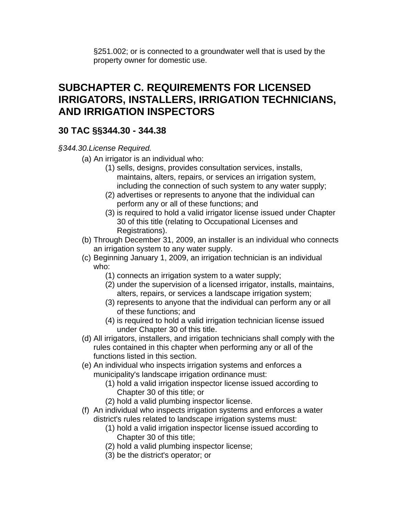§251.002; or is connected to a groundwater well that is used by the property owner for domestic use.

## **SUBCHAPTER C. REQUIREMENTS FOR LICENSED IRRIGATORS, INSTALLERS, IRRIGATION TECHNICIANS, AND IRRIGATION INSPECTORS**

### **30 TAC §§344.30 - 344.38**

#### *§344.30.License Required.*

- (a) An irrigator is an individual who:
	- (1) sells, designs, provides consultation services, installs, maintains, alters, repairs, or services an irrigation system, including the connection of such system to any water supply;
	- (2) advertises or represents to anyone that the individual can perform any or all of these functions; and
	- (3) is required to hold a valid irrigator license issued under Chapter 30 of this title (relating to Occupational Licenses and Registrations).
- (b) Through December 31, 2009, an installer is an individual who connects an irrigation system to any water supply.
- (c) Beginning January 1, 2009, an irrigation technician is an individual who:
	- (1) connects an irrigation system to a water supply;
	- (2) under the supervision of a licensed irrigator, installs, maintains, alters, repairs, or services a landscape irrigation system;
	- (3) represents to anyone that the individual can perform any or all of these functions; and
	- (4) is required to hold a valid irrigation technician license issued under Chapter 30 of this title.
- (d) All irrigators, installers, and irrigation technicians shall comply with the rules contained in this chapter when performing any or all of the functions listed in this section.
- (e) An individual who inspects irrigation systems and enforces a municipality's landscape irrigation ordinance must:
	- (1) hold a valid irrigation inspector license issued according to Chapter 30 of this title; or
	- (2) hold a valid plumbing inspector license.
- (f) An individual who inspects irrigation systems and enforces a water district's rules related to landscape irrigation systems must:
	- (1) hold a valid irrigation inspector license issued according to Chapter 30 of this title;
	- (2) hold a valid plumbing inspector license;
	- (3) be the district's operator; or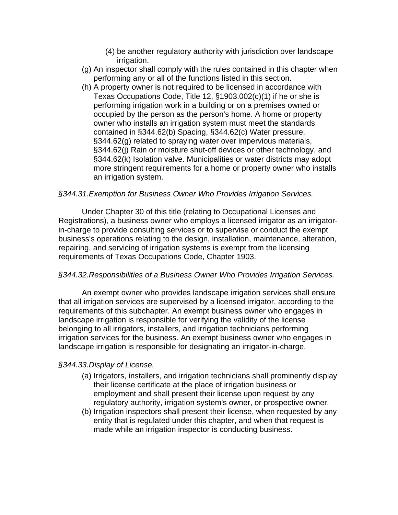- (4) be another regulatory authority with jurisdiction over landscape irrigation.
- (g) An inspector shall comply with the rules contained in this chapter when performing any or all of the functions listed in this section.
- (h) A property owner is not required to be licensed in accordance with Texas Occupations Code, Title 12, §1903.002(c)(1) if he or she is performing irrigation work in a building or on a premises owned or occupied by the person as the person's home. A home or property owner who installs an irrigation system must meet the standards contained in §344.62(b) Spacing, §344.62(c) Water pressure, §344.62(g) related to spraying water over impervious materials, §344.62(j) Rain or moisture shut-off devices or other technology, and §344.62(k) Isolation valve. Municipalities or water districts may adopt more stringent requirements for a home or property owner who installs an irrigation system.

#### *§344.31.Exemption for Business Owner Who Provides Irrigation Services.*

Under Chapter 30 of this title (relating to Occupational Licenses and Registrations), a business owner who employs a licensed irrigator as an irrigatorin-charge to provide consulting services or to supervise or conduct the exempt business's operations relating to the design, installation, maintenance, alteration, repairing, and servicing of irrigation systems is exempt from the licensing requirements of Texas Occupations Code, Chapter 1903.

#### *§344.32.Responsibilities of a Business Owner Who Provides Irrigation Services.*

An exempt owner who provides landscape irrigation services shall ensure that all irrigation services are supervised by a licensed irrigator, according to the requirements of this subchapter. An exempt business owner who engages in landscape irrigation is responsible for verifying the validity of the license belonging to all irrigators, installers, and irrigation technicians performing irrigation services for the business. An exempt business owner who engages in landscape irrigation is responsible for designating an irrigator-in-charge.

#### *§344.33.Display of License.*

- (a) Irrigators, installers, and irrigation technicians shall prominently display their license certificate at the place of irrigation business or employment and shall present their license upon request by any regulatory authority, irrigation system's owner, or prospective owner.
- (b) Irrigation inspectors shall present their license, when requested by any entity that is regulated under this chapter, and when that request is made while an irrigation inspector is conducting business.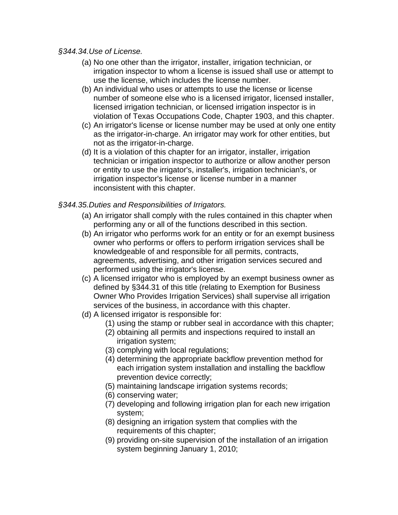#### *§344.34.Use of License.*

- (a) No one other than the irrigator, installer, irrigation technician, or irrigation inspector to whom a license is issued shall use or attempt to use the license, which includes the license number.
- (b) An individual who uses or attempts to use the license or license number of someone else who is a licensed irrigator, licensed installer, licensed irrigation technician, or licensed irrigation inspector is in violation of Texas Occupations Code, Chapter 1903, and this chapter.
- (c) An irrigator's license or license number may be used at only one entity as the irrigator-in-charge. An irrigator may work for other entities, but not as the irrigator-in-charge.
- (d) It is a violation of this chapter for an irrigator, installer, irrigation technician or irrigation inspector to authorize or allow another person or entity to use the irrigator's, installer's, irrigation technician's, or irrigation inspector's license or license number in a manner inconsistent with this chapter.

#### *§344.35.Duties and Responsibilities of Irrigators.*

- (a) An irrigator shall comply with the rules contained in this chapter when performing any or all of the functions described in this section.
- (b) An irrigator who performs work for an entity or for an exempt business owner who performs or offers to perform irrigation services shall be knowledgeable of and responsible for all permits, contracts, agreements, advertising, and other irrigation services secured and performed using the irrigator's license.
- (c) A licensed irrigator who is employed by an exempt business owner as defined by §344.31 of this title (relating to Exemption for Business Owner Who Provides Irrigation Services) shall supervise all irrigation services of the business, in accordance with this chapter.
- (d) A licensed irrigator is responsible for:
	- (1) using the stamp or rubber seal in accordance with this chapter;
	- (2) obtaining all permits and inspections required to install an irrigation system;
	- (3) complying with local regulations;
	- (4) determining the appropriate backflow prevention method for each irrigation system installation and installing the backflow prevention device correctly;
	- (5) maintaining landscape irrigation systems records;
	- (6) conserving water;
	- (7) developing and following irrigation plan for each new irrigation system;
	- (8) designing an irrigation system that complies with the requirements of this chapter;
	- (9) providing on-site supervision of the installation of an irrigation system beginning January 1, 2010;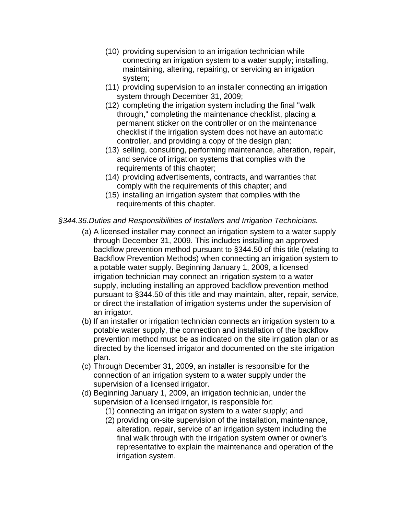- (10) providing supervision to an irrigation technician while connecting an irrigation system to a water supply; installing, maintaining, altering, repairing, or servicing an irrigation system;
- (11) providing supervision to an installer connecting an irrigation system through December 31, 2009;
- (12) completing the irrigation system including the final "walk through," completing the maintenance checklist, placing a permanent sticker on the controller or on the maintenance checklist if the irrigation system does not have an automatic controller, and providing a copy of the design plan;
- (13) selling, consulting, performing maintenance, alteration, repair, and service of irrigation systems that complies with the requirements of this chapter;
- (14) providing advertisements, contracts, and warranties that comply with the requirements of this chapter; and
- (15) installing an irrigation system that complies with the requirements of this chapter.

#### *§344.36.Duties and Responsibilities of Installers and Irrigation Technicians.*

- (a) A licensed installer may connect an irrigation system to a water supply through December 31, 2009. This includes installing an approved backflow prevention method pursuant to §344.50 of this title (relating to Backflow Prevention Methods) when connecting an irrigation system to a potable water supply. Beginning January 1, 2009, a licensed irrigation technician may connect an irrigation system to a water supply, including installing an approved backflow prevention method pursuant to §344.50 of this title and may maintain, alter, repair, service, or direct the installation of irrigation systems under the supervision of an irrigator.
- (b) If an installer or irrigation technician connects an irrigation system to a potable water supply, the connection and installation of the backflow prevention method must be as indicated on the site irrigation plan or as directed by the licensed irrigator and documented on the site irrigation plan.
- (c) Through December 31, 2009, an installer is responsible for the connection of an irrigation system to a water supply under the supervision of a licensed irrigator.
- (d) Beginning January 1, 2009, an irrigation technician, under the supervision of a licensed irrigator, is responsible for:
	- (1) connecting an irrigation system to a water supply; and
	- (2) providing on-site supervision of the installation, maintenance, alteration, repair, service of an irrigation system including the final walk through with the irrigation system owner or owner's representative to explain the maintenance and operation of the irrigation system.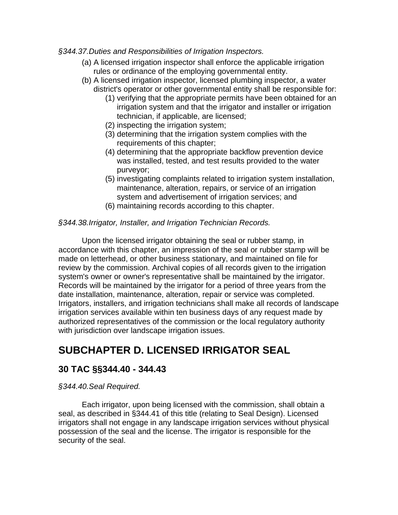#### *§344.37.Duties and Responsibilities of Irrigation Inspectors.*

- (a) A licensed irrigation inspector shall enforce the applicable irrigation rules or ordinance of the employing governmental entity.
- (b) A licensed irrigation inspector, licensed plumbing inspector, a water district's operator or other governmental entity shall be responsible for:
	- (1) verifying that the appropriate permits have been obtained for an irrigation system and that the irrigator and installer or irrigation technician, if applicable, are licensed;
	- (2) inspecting the irrigation system;
	- (3) determining that the irrigation system complies with the requirements of this chapter;
	- (4) determining that the appropriate backflow prevention device was installed, tested, and test results provided to the water purveyor;
	- (5) investigating complaints related to irrigation system installation, maintenance, alteration, repairs, or service of an irrigation system and advertisement of irrigation services; and
	- (6) maintaining records according to this chapter.

#### *§344.38.Irrigator, Installer, and Irrigation Technician Records.*

Upon the licensed irrigator obtaining the seal or rubber stamp, in accordance with this chapter, an impression of the seal or rubber stamp will be made on letterhead, or other business stationary, and maintained on file for review by the commission. Archival copies of all records given to the irrigation system's owner or owner's representative shall be maintained by the irrigator. Records will be maintained by the irrigator for a period of three years from the date installation, maintenance, alteration, repair or service was completed. Irrigators, installers, and irrigation technicians shall make all records of landscape irrigation services available within ten business days of any request made by authorized representatives of the commission or the local regulatory authority with jurisdiction over landscape irrigation issues.

## **SUBCHAPTER D. LICENSED IRRIGATOR SEAL**

### **30 TAC §§344.40 - 344.43**

#### *§344.40.Seal Required.*

Each irrigator, upon being licensed with the commission, shall obtain a seal, as described in §344.41 of this title (relating to Seal Design). Licensed irrigators shall not engage in any landscape irrigation services without physical possession of the seal and the license. The irrigator is responsible for the security of the seal.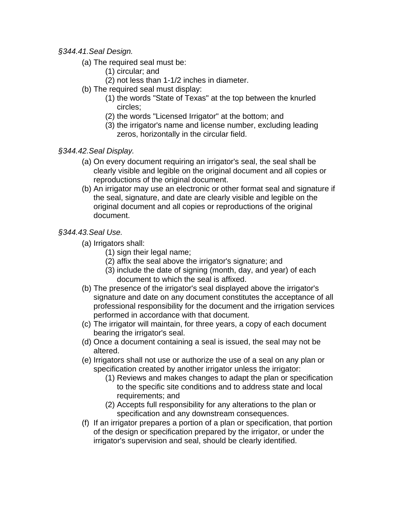#### *§344.41.Seal Design.*

- (a) The required seal must be:
	- (1) circular; and
	- (2) not less than 1-1/2 inches in diameter.
- (b) The required seal must display:
	- (1) the words "State of Texas" at the top between the knurled circles;
	- (2) the words "Licensed Irrigator" at the bottom; and
	- (3) the irrigator's name and license number, excluding leading zeros, horizontally in the circular field.
- *§344.42.Seal Display.* 
	- (a) On every document requiring an irrigator's seal, the seal shall be clearly visible and legible on the original document and all copies or reproductions of the original document.
	- (b) An irrigator may use an electronic or other format seal and signature if the seal, signature, and date are clearly visible and legible on the original document and all copies or reproductions of the original document.

#### *§344.43.Seal Use.*

- (a) Irrigators shall:
	- (1) sign their legal name;
	- (2) affix the seal above the irrigator's signature; and
	- (3) include the date of signing (month, day, and year) of each document to which the seal is affixed.
- (b) The presence of the irrigator's seal displayed above the irrigator's signature and date on any document constitutes the acceptance of all professional responsibility for the document and the irrigation services performed in accordance with that document.
- (c) The irrigator will maintain, for three years, a copy of each document bearing the irrigator's seal.
- (d) Once a document containing a seal is issued, the seal may not be altered.
- (e) Irrigators shall not use or authorize the use of a seal on any plan or specification created by another irrigator unless the irrigator:
	- (1) Reviews and makes changes to adapt the plan or specification to the specific site conditions and to address state and local requirements; and
	- (2) Accepts full responsibility for any alterations to the plan or specification and any downstream consequences.
- (f) If an irrigator prepares a portion of a plan or specification, that portion of the design or specification prepared by the irrigator, or under the irrigator's supervision and seal, should be clearly identified.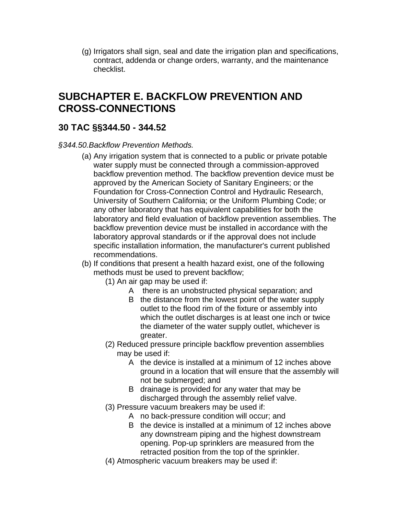(g) Irrigators shall sign, seal and date the irrigation plan and specifications, contract, addenda or change orders, warranty, and the maintenance checklist.

## **SUBCHAPTER E. BACKFLOW PREVENTION AND CROSS-CONNECTIONS**

## **30 TAC §§344.50 - 344.52**

#### *§344.50.Backflow Prevention Methods.*

- (a) Any irrigation system that is connected to a public or private potable water supply must be connected through a commission-approved backflow prevention method. The backflow prevention device must be approved by the American Society of Sanitary Engineers; or the Foundation for Cross-Connection Control and Hydraulic Research, University of Southern California; or the Uniform Plumbing Code; or any other laboratory that has equivalent capabilities for both the laboratory and field evaluation of backflow prevention assemblies. The backflow prevention device must be installed in accordance with the laboratory approval standards or if the approval does not include specific installation information, the manufacturer's current published recommendations.
- (b) If conditions that present a health hazard exist, one of the following methods must be used to prevent backflow;
	- (1) An air gap may be used if:
		- A there is an unobstructed physical separation; and
		- B the distance from the lowest point of the water supply outlet to the flood rim of the fixture or assembly into which the outlet discharges is at least one inch or twice the diameter of the water supply outlet, whichever is greater.
	- (2) Reduced pressure principle backflow prevention assemblies may be used if:
		- A the device is installed at a minimum of 12 inches above ground in a location that will ensure that the assembly will not be submerged; and
		- B drainage is provided for any water that may be discharged through the assembly relief valve.
	- (3) Pressure vacuum breakers may be used if:
		- A no back-pressure condition will occur; and
		- B the device is installed at a minimum of 12 inches above any downstream piping and the highest downstream opening. Pop-up sprinklers are measured from the retracted position from the top of the sprinkler.
	- (4) Atmospheric vacuum breakers may be used if: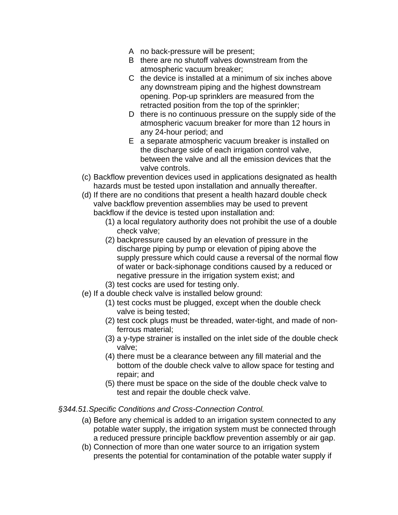- A no back-pressure will be present;
- B there are no shutoff valves downstream from the atmospheric vacuum breaker;
- C the device is installed at a minimum of six inches above any downstream piping and the highest downstream opening. Pop-up sprinklers are measured from the retracted position from the top of the sprinkler;
- D there is no continuous pressure on the supply side of the atmospheric vacuum breaker for more than 12 hours in any 24-hour period; and
- E a separate atmospheric vacuum breaker is installed on the discharge side of each irrigation control valve, between the valve and all the emission devices that the valve controls.
- (c) Backflow prevention devices used in applications designated as health hazards must be tested upon installation and annually thereafter.
- (d) If there are no conditions that present a health hazard double check valve backflow prevention assemblies may be used to prevent backflow if the device is tested upon installation and:
	- (1) a local regulatory authority does not prohibit the use of a double check valve;
	- (2) backpressure caused by an elevation of pressure in the discharge piping by pump or elevation of piping above the supply pressure which could cause a reversal of the normal flow of water or back-siphonage conditions caused by a reduced or negative pressure in the irrigation system exist; and
	- (3) test cocks are used for testing only.
- (e) If a double check valve is installed below ground:
	- (1) test cocks must be plugged, except when the double check valve is being tested;
	- (2) test cock plugs must be threaded, water-tight, and made of nonferrous material;
	- (3) a y-type strainer is installed on the inlet side of the double check valve;
	- (4) there must be a clearance between any fill material and the bottom of the double check valve to allow space for testing and repair; and
	- (5) there must be space on the side of the double check valve to test and repair the double check valve.

#### *§344.51.Specific Conditions and Cross-Connection Control.*

- (a) Before any chemical is added to an irrigation system connected to any potable water supply, the irrigation system must be connected through a reduced pressure principle backflow prevention assembly or air gap.
- (b) Connection of more than one water source to an irrigation system presents the potential for contamination of the potable water supply if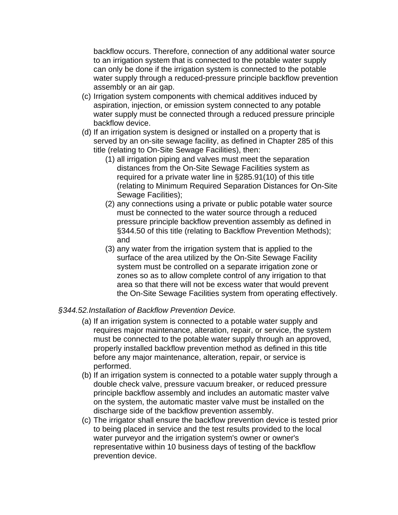backflow occurs. Therefore, connection of any additional water source to an irrigation system that is connected to the potable water supply can only be done if the irrigation system is connected to the potable water supply through a reduced-pressure principle backflow prevention assembly or an air gap.

- (c) Irrigation system components with chemical additives induced by aspiration, injection, or emission system connected to any potable water supply must be connected through a reduced pressure principle backflow device.
- (d) If an irrigation system is designed or installed on a property that is served by an on-site sewage facility, as defined in Chapter 285 of this title (relating to On-Site Sewage Facilities), then:
	- (1) all irrigation piping and valves must meet the separation distances from the On-Site Sewage Facilities system as required for a private water line in §285.91(10) of this title (relating to Minimum Required Separation Distances for On-Site Sewage Facilities);
	- (2) any connections using a private or public potable water source must be connected to the water source through a reduced pressure principle backflow prevention assembly as defined in §344.50 of this title (relating to Backflow Prevention Methods); and
	- (3) any water from the irrigation system that is applied to the surface of the area utilized by the On-Site Sewage Facility system must be controlled on a separate irrigation zone or zones so as to allow complete control of any irrigation to that area so that there will not be excess water that would prevent the On-Site Sewage Facilities system from operating effectively.

#### *§344.52.Installation of Backflow Prevention Device.*

- (a) If an irrigation system is connected to a potable water supply and requires major maintenance, alteration, repair, or service, the system must be connected to the potable water supply through an approved, properly installed backflow prevention method as defined in this title before any major maintenance, alteration, repair, or service is performed.
- (b) If an irrigation system is connected to a potable water supply through a double check valve, pressure vacuum breaker, or reduced pressure principle backflow assembly and includes an automatic master valve on the system, the automatic master valve must be installed on the discharge side of the backflow prevention assembly.
- (c) The irrigator shall ensure the backflow prevention device is tested prior to being placed in service and the test results provided to the local water purveyor and the irrigation system's owner or owner's representative within 10 business days of testing of the backflow prevention device.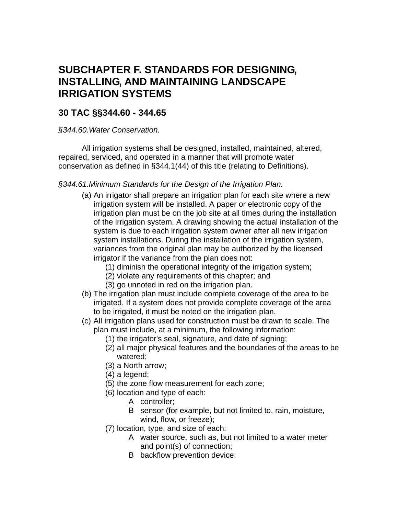## **SUBCHAPTER F. STANDARDS FOR DESIGNING, INSTALLING, AND MAINTAINING LANDSCAPE IRRIGATION SYSTEMS**

### **30 TAC §§344.60 - 344.65**

*§344.60.Water Conservation.* 

All irrigation systems shall be designed, installed, maintained, altered, repaired, serviced, and operated in a manner that will promote water conservation as defined in §344.1(44) of this title (relating to Definitions).

#### *§344.61.Minimum Standards for the Design of the Irrigation Plan.*

- (a) An irrigator shall prepare an irrigation plan for each site where a new irrigation system will be installed. A paper or electronic copy of the irrigation plan must be on the job site at all times during the installation of the irrigation system. A drawing showing the actual installation of the system is due to each irrigation system owner after all new irrigation system installations. During the installation of the irrigation system, variances from the original plan may be authorized by the licensed irrigator if the variance from the plan does not:
	- (1) diminish the operational integrity of the irrigation system;
	- (2) violate any requirements of this chapter; and
	- (3) go unnoted in red on the irrigation plan.
- (b) The irrigation plan must include complete coverage of the area to be irrigated. If a system does not provide complete coverage of the area to be irrigated, it must be noted on the irrigation plan.
- (c) All irrigation plans used for construction must be drawn to scale. The plan must include, at a minimum, the following information:
	- (1) the irrigator's seal, signature, and date of signing;
	- (2) all major physical features and the boundaries of the areas to be watered;
	- (3) a North arrow;
	- (4) a legend;
	- (5) the zone flow measurement for each zone;
	- (6) location and type of each:
		- A controller;
		- B sensor (for example, but not limited to, rain, moisture, wind, flow, or freeze);
	- (7) location, type, and size of each:
		- A water source, such as, but not limited to a water meter and point(s) of connection;
		- B backflow prevention device;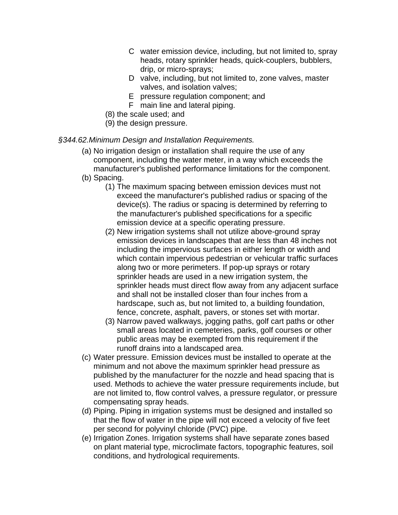- C water emission device, including, but not limited to, spray heads, rotary sprinkler heads, quick-couplers, bubblers, drip, or micro-sprays;
- D valve, including, but not limited to, zone valves, master valves, and isolation valves;
- E pressure regulation component; and
- F main line and lateral piping.
- (8) the scale used; and
- (9) the design pressure.

#### *§344.62.Minimum Design and Installation Requirements.*

- (a) No irrigation design or installation shall require the use of any component, including the water meter, in a way which exceeds the manufacturer's published performance limitations for the component.
- (b) Spacing.
	- (1) The maximum spacing between emission devices must not exceed the manufacturer's published radius or spacing of the device(s). The radius or spacing is determined by referring to the manufacturer's published specifications for a specific emission device at a specific operating pressure.
	- (2) New irrigation systems shall not utilize above-ground spray emission devices in landscapes that are less than 48 inches not including the impervious surfaces in either length or width and which contain impervious pedestrian or vehicular traffic surfaces along two or more perimeters. If pop-up sprays or rotary sprinkler heads are used in a new irrigation system, the sprinkler heads must direct flow away from any adjacent surface and shall not be installed closer than four inches from a hardscape, such as, but not limited to, a building foundation, fence, concrete, asphalt, pavers, or stones set with mortar.
	- (3) Narrow paved walkways, jogging paths, golf cart paths or other small areas located in cemeteries, parks, golf courses or other public areas may be exempted from this requirement if the runoff drains into a landscaped area.
- (c) Water pressure. Emission devices must be installed to operate at the minimum and not above the maximum sprinkler head pressure as published by the manufacturer for the nozzle and head spacing that is used. Methods to achieve the water pressure requirements include, but are not limited to, flow control valves, a pressure regulator, or pressure compensating spray heads.
- (d) Piping. Piping in irrigation systems must be designed and installed so that the flow of water in the pipe will not exceed a velocity of five feet per second for polyvinyl chloride (PVC) pipe.
- (e) Irrigation Zones. Irrigation systems shall have separate zones based on plant material type, microclimate factors, topographic features, soil conditions, and hydrological requirements.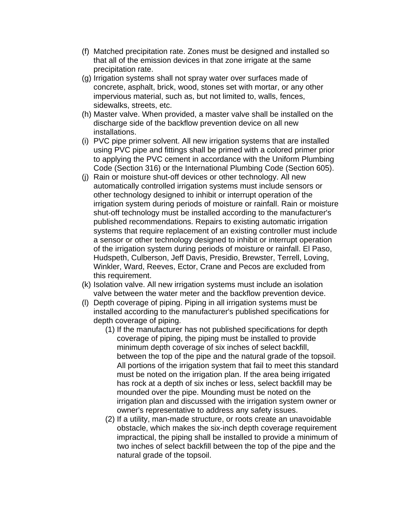- (f) Matched precipitation rate. Zones must be designed and installed so that all of the emission devices in that zone irrigate at the same precipitation rate.
- (g) Irrigation systems shall not spray water over surfaces made of concrete, asphalt, brick, wood, stones set with mortar, or any other impervious material, such as, but not limited to, walls, fences, sidewalks, streets, etc.
- (h) Master valve. When provided, a master valve shall be installed on the discharge side of the backflow prevention device on all new installations.
- (i) PVC pipe primer solvent. All new irrigation systems that are installed using PVC pipe and fittings shall be primed with a colored primer prior to applying the PVC cement in accordance with the Uniform Plumbing Code (Section 316) or the International Plumbing Code (Section 605).
- (j) Rain or moisture shut-off devices or other technology. All new automatically controlled irrigation systems must include sensors or other technology designed to inhibit or interrupt operation of the irrigation system during periods of moisture or rainfall. Rain or moisture shut-off technology must be installed according to the manufacturer's published recommendations. Repairs to existing automatic irrigation systems that require replacement of an existing controller must include a sensor or other technology designed to inhibit or interrupt operation of the irrigation system during periods of moisture or rainfall. El Paso, Hudspeth, Culberson, Jeff Davis, Presidio, Brewster, Terrell, Loving, Winkler, Ward, Reeves, Ector, Crane and Pecos are excluded from this requirement.
- (k) Isolation valve. All new irrigation systems must include an isolation valve between the water meter and the backflow prevention device.
- (l) Depth coverage of piping. Piping in all irrigation systems must be installed according to the manufacturer's published specifications for depth coverage of piping.
	- (1) If the manufacturer has not published specifications for depth coverage of piping, the piping must be installed to provide minimum depth coverage of six inches of select backfill, between the top of the pipe and the natural grade of the topsoil. All portions of the irrigation system that fail to meet this standard must be noted on the irrigation plan. If the area being irrigated has rock at a depth of six inches or less, select backfill may be mounded over the pipe. Mounding must be noted on the irrigation plan and discussed with the irrigation system owner or owner's representative to address any safety issues.
	- (2) If a utility, man-made structure, or roots create an unavoidable obstacle, which makes the six-inch depth coverage requirement impractical, the piping shall be installed to provide a minimum of two inches of select backfill between the top of the pipe and the natural grade of the topsoil.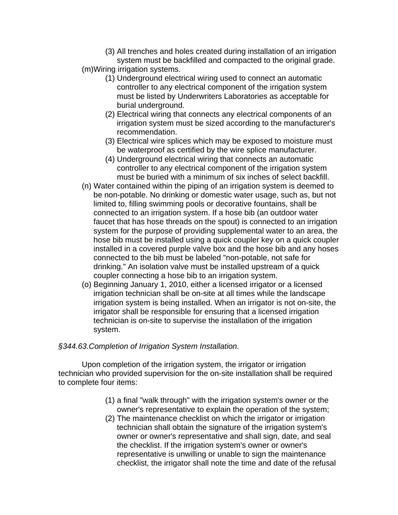- (3) All trenches and holes created during installation of an irrigation system must be backfilled and compacted to the original grade.
- (m)Wiring irrigation systems.
	- (1) Underground electrical wiring used to connect an automatic controller to any electrical component of the irrigation system must be listed by Underwriters Laboratories as acceptable for burial underground.
	- (2) Electrical wiring that connects any electrical components of an irrigation system must be sized according to the manufacturer's recommendation.
	- (3) Electrical wire splices which may be exposed to moisture must be waterproof as certified by the wire splice manufacturer.
	- (4) Underground electrical wiring that connects an automatic controller to any electrical component of the irrigation system must be buried with a minimum of six inches of select backfill.
- (n) Water contained within the piping of an irrigation system is deemed to be non-potable. No drinking or domestic water usage, such as, but not limited to, filling swimming pools or decorative fountains, shall be connected to an irrigation system. If a hose bib (an outdoor water faucet that has hose threads on the spout) is connected to an irrigation system for the purpose of providing supplemental water to an area, the hose bib must be installed using a quick coupler key on a quick coupler installed in a covered purple valve box and the hose bib and any hoses connected to the bib must be labeled "non-potable, not safe for drinking." An isolation valve must be installed upstream of a quick coupler connecting a hose bib to an irrigation system.
- (o) Beginning January 1, 2010, either a licensed irrigator or a licensed irrigation technician shall be on-site at all times while the landscape irrigation system is being installed. When an irrigator is not on-site, the irrigator shall be responsible for ensuring that a licensed irrigation technician is on-site to supervise the installation of the irrigation system.

#### *§344.63.Completion of Irrigation System Installation.*

Upon completion of the irrigation system, the irrigator or irrigation technician who provided supervision for the on-site installation shall be required to complete four items:

- (1) a final "walk through" with the irrigation system's owner or the owner's representative to explain the operation of the system;
- (2) The maintenance checklist on which the irrigator or irrigation technician shall obtain the signature of the irrigation system's owner or owner's representative and shall sign, date, and seal the checklist. If the irrigation system's owner or owner's representative is unwilling or unable to sign the maintenance checklist, the irrigator shall note the time and date of the refusal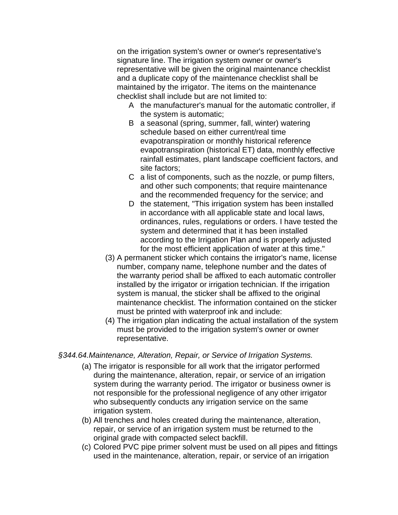on the irrigation system's owner or owner's representative's signature line. The irrigation system owner or owner's representative will be given the original maintenance checklist and a duplicate copy of the maintenance checklist shall be maintained by the irrigator. The items on the maintenance checklist shall include but are not limited to:

- A the manufacturer's manual for the automatic controller, if the system is automatic;
- B a seasonal (spring, summer, fall, winter) watering schedule based on either current/real time evapotranspiration or monthly historical reference evapotranspiration (historical ET) data, monthly effective rainfall estimates, plant landscape coefficient factors, and site factors;
- C a list of components, such as the nozzle, or pump filters, and other such components; that require maintenance and the recommended frequency for the service; and
- D the statement, "This irrigation system has been installed in accordance with all applicable state and local laws, ordinances, rules, regulations or orders. I have tested the system and determined that it has been installed according to the Irrigation Plan and is properly adjusted for the most efficient application of water at this time."
- (3) A permanent sticker which contains the irrigator's name, license number, company name, telephone number and the dates of the warranty period shall be affixed to each automatic controller installed by the irrigator or irrigation technician. If the irrigation system is manual, the sticker shall be affixed to the original maintenance checklist. The information contained on the sticker must be printed with waterproof ink and include:
- (4) The irrigation plan indicating the actual installation of the system must be provided to the irrigation system's owner or owner representative.

*§344.64.Maintenance, Alteration, Repair, or Service of Irrigation Systems.* 

- (a) The irrigator is responsible for all work that the irrigator performed during the maintenance, alteration, repair, or service of an irrigation system during the warranty period. The irrigator or business owner is not responsible for the professional negligence of any other irrigator who subsequently conducts any irrigation service on the same irrigation system.
- (b) All trenches and holes created during the maintenance, alteration, repair, or service of an irrigation system must be returned to the original grade with compacted select backfill.
- (c) Colored PVC pipe primer solvent must be used on all pipes and fittings used in the maintenance, alteration, repair, or service of an irrigation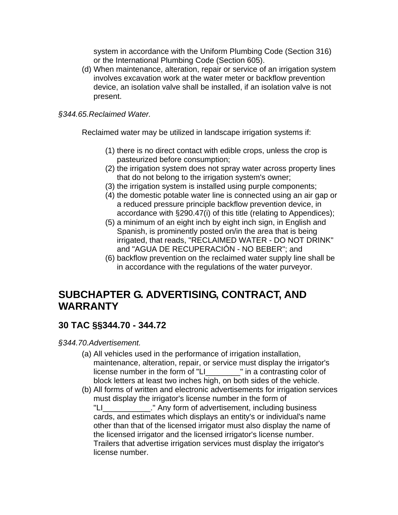system in accordance with the Uniform Plumbing Code (Section 316) or the International Plumbing Code (Section 605).

(d) When maintenance, alteration, repair or service of an irrigation system involves excavation work at the water meter or backflow prevention device, an isolation valve shall be installed, if an isolation valve is not present.

#### *§344.65.Reclaimed Water.*

Reclaimed water may be utilized in landscape irrigation systems if:

- (1) there is no direct contact with edible crops, unless the crop is pasteurized before consumption;
- (2) the irrigation system does not spray water across property lines that do not belong to the irrigation system's owner;
- (3) the irrigation system is installed using purple components;
- (4) the domestic potable water line is connected using an air gap or a reduced pressure principle backflow prevention device, in accordance with §290.47(i) of this title (relating to Appendices);
- (5) a minimum of an eight inch by eight inch sign, in English and Spanish, is prominently posted on/in the area that is being irrigated, that reads, "RECLAIMED WATER - DO NOT DRINK" and "AGUA DE RECUPERACIÓN - NO BEBER"; and
- (6) backflow prevention on the reclaimed water supply line shall be in accordance with the regulations of the water purveyor.

## **SUBCHAPTER G. ADVERTISING, CONTRACT, AND WARRANTY**

## **30 TAC §§344.70 - 344.72**

*§344.70.Advertisement.* 

- (a) All vehicles used in the performance of irrigation installation, maintenance, alteration, repair, or service must display the irrigator's license number in the form of "LI\_\_\_\_\_\_\_\_" in a contrasting color of block letters at least two inches high, on both sides of the vehicle.
- (b) All forms of written and electronic advertisements for irrigation services must display the irrigator's license number in the form of "LI\_\_\_\_\_\_\_\_\_\_\_." Any form of advertisement, including business cards, and estimates which displays an entity's or individual's name other than that of the licensed irrigator must also display the name of the licensed irrigator and the licensed irrigator's license number. Trailers that advertise irrigation services must display the irrigator's license number.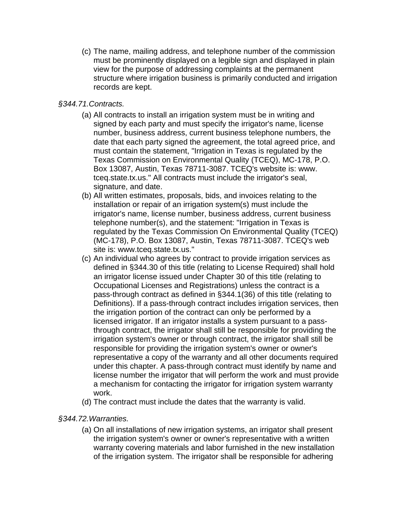(c) The name, mailing address, and telephone number of the commission must be prominently displayed on a legible sign and displayed in plain view for the purpose of addressing complaints at the permanent structure where irrigation business is primarily conducted and irrigation records are kept.

#### *§344.71.Contracts.*

- (a) All contracts to install an irrigation system must be in writing and signed by each party and must specify the irrigator's name, license number, business address, current business telephone numbers, the date that each party signed the agreement, the total agreed price, and must contain the statement, "Irrigation in Texas is regulated by the Texas Commission on Environmental Quality (TCEQ), MC-178, P.O. Box 13087, Austin, Texas 78711-3087. TCEQ's website is: www. tceq.state.tx.us." All contracts must include the irrigator's seal, signature, and date.
- (b) All written estimates, proposals, bids, and invoices relating to the installation or repair of an irrigation system(s) must include the irrigator's name, license number, business address, current business telephone number(s), and the statement: "Irrigation in Texas is regulated by the Texas Commission On Environmental Quality (TCEQ) (MC-178), P.O. Box 13087, Austin, Texas 78711-3087. TCEQ's web site is: www.tceq.state.tx.us."
- (c) An individual who agrees by contract to provide irrigation services as defined in §344.30 of this title (relating to License Required) shall hold an irrigator license issued under Chapter 30 of this title (relating to Occupational Licenses and Registrations) unless the contract is a pass-through contract as defined in §344.1(36) of this title (relating to Definitions). If a pass-through contract includes irrigation services, then the irrigation portion of the contract can only be performed by a licensed irrigator. If an irrigator installs a system pursuant to a passthrough contract, the irrigator shall still be responsible for providing the irrigation system's owner or through contract, the irrigator shall still be responsible for providing the irrigation system's owner or owner's representative a copy of the warranty and all other documents required under this chapter. A pass-through contract must identify by name and license number the irrigator that will perform the work and must provide a mechanism for contacting the irrigator for irrigation system warranty work.
- (d) The contract must include the dates that the warranty is valid.

#### *§344.72.Warranties.*

(a) On all installations of new irrigation systems, an irrigator shall present the irrigation system's owner or owner's representative with a written warranty covering materials and labor furnished in the new installation of the irrigation system. The irrigator shall be responsible for adhering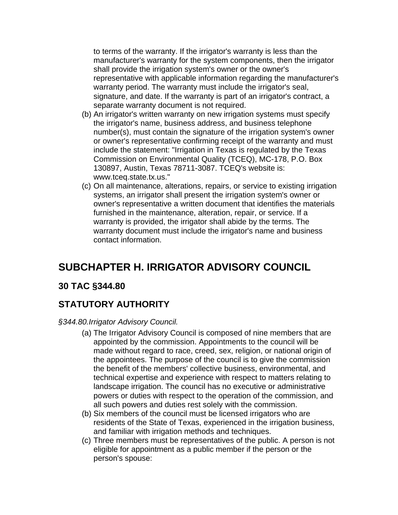to terms of the warranty. If the irrigator's warranty is less than the manufacturer's warranty for the system components, then the irrigator shall provide the irrigation system's owner or the owner's representative with applicable information regarding the manufacturer's warranty period. The warranty must include the irrigator's seal, signature, and date. If the warranty is part of an irrigator's contract, a separate warranty document is not required.

- (b) An irrigator's written warranty on new irrigation systems must specify the irrigator's name, business address, and business telephone number(s), must contain the signature of the irrigation system's owner or owner's representative confirming receipt of the warranty and must include the statement: "Irrigation in Texas is regulated by the Texas Commission on Environmental Quality (TCEQ), MC-178, P.O. Box 130897, Austin, Texas 78711-3087. TCEQ's website is: www.tceq.state.tx.us."
- (c) On all maintenance, alterations, repairs, or service to existing irrigation systems, an irrigator shall present the irrigation system's owner or owner's representative a written document that identifies the materials furnished in the maintenance, alteration, repair, or service. If a warranty is provided, the irrigator shall abide by the terms. The warranty document must include the irrigator's name and business contact information.

# **SUBCHAPTER H. IRRIGATOR ADVISORY COUNCIL**

### **30 TAC §344.80**

## **STATUTORY AUTHORITY**

#### *§344.80.Irrigator Advisory Council.*

- (a) The Irrigator Advisory Council is composed of nine members that are appointed by the commission. Appointments to the council will be made without regard to race, creed, sex, religion, or national origin of the appointees. The purpose of the council is to give the commission the benefit of the members' collective business, environmental, and technical expertise and experience with respect to matters relating to landscape irrigation. The council has no executive or administrative powers or duties with respect to the operation of the commission, and all such powers and duties rest solely with the commission.
- (b) Six members of the council must be licensed irrigators who are residents of the State of Texas, experienced in the irrigation business, and familiar with irrigation methods and techniques.
- (c) Three members must be representatives of the public. A person is not eligible for appointment as a public member if the person or the person's spouse: